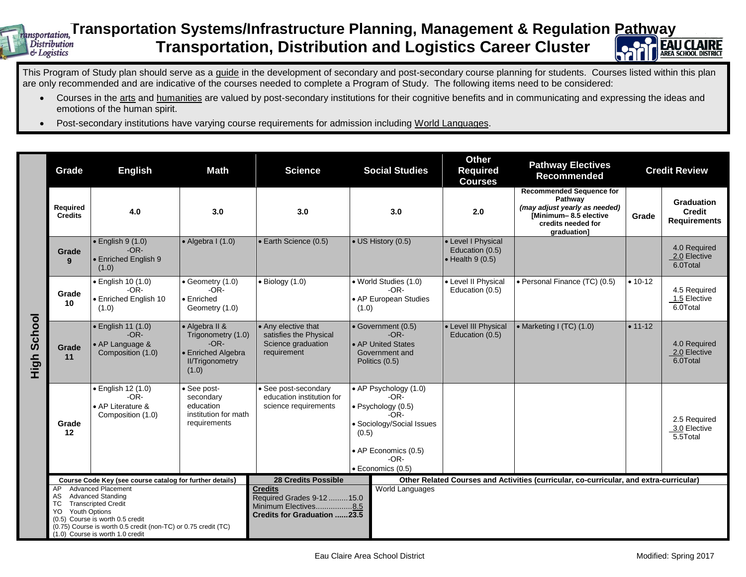## **Insportation,Transportation Systems/Infrastructure Planning, Management & Regulation <u>Pathw</u>ay Transportation, Distribution and Logistics Career Cluster Distribution**  $\&$  Logistics



This Program of Study plan should serve as a guide in the development of secondary and post-secondary course planning for students. Courses listed within this plan are only recommended and are indicative of the courses needed to complete a Program of Study. The following items need to be considered:

- Courses in the arts and humanities are valued by post-secondary institutions for their cognitive benefits and in communicating and expressing the ideas and emotions of the human spirit.
- Post-secondary institutions have varying course requirements for admission including World Languages.

|                | Grade                                                                                                                                                                                                                                                                   | Math<br><b>English</b>                                                   |                                                                                                         | <b>Science</b>                                                                                             | <b>Social Studies</b>                                                                                                                                                | <b>Other</b><br><b>Required</b><br><b>Courses</b>                 | <b>Pathway Electives</b><br><b>Recommended</b>                                                                                            | <b>Credit Review</b> |                                                    |  |  |
|----------------|-------------------------------------------------------------------------------------------------------------------------------------------------------------------------------------------------------------------------------------------------------------------------|--------------------------------------------------------------------------|---------------------------------------------------------------------------------------------------------|------------------------------------------------------------------------------------------------------------|----------------------------------------------------------------------------------------------------------------------------------------------------------------------|-------------------------------------------------------------------|-------------------------------------------------------------------------------------------------------------------------------------------|----------------------|----------------------------------------------------|--|--|
|                | Required<br><b>Credits</b>                                                                                                                                                                                                                                              | 4.0                                                                      | 3.0                                                                                                     | 3.0                                                                                                        | 3.0                                                                                                                                                                  | 2.0                                                               | <b>Recommended Sequence for</b><br>Pathway<br>(may adjust yearly as needed)<br>[Minimum-8.5 elective<br>credits needed for<br>graduation] | Grade                | Graduation<br><b>Credit</b><br><b>Requirements</b> |  |  |
|                | Grade<br>9                                                                                                                                                                                                                                                              | $\bullet$ English 9 (1.0)<br>$-OR-$<br>• Enriched English 9<br>(1.0)     | $\bullet$ Algebra I (1.0)                                                                               | • Earth Science (0.5)                                                                                      | • US History (0.5)                                                                                                                                                   | • Level I Physical<br>Education (0.5)<br>$\bullet$ Health 9 (0.5) |                                                                                                                                           |                      | 4.0 Required<br>2.0 Elective<br>6.0Total           |  |  |
| School<br>High | Grade<br>10                                                                                                                                                                                                                                                             | $\bullet$ English 10 $(1.0)$<br>$-OR-$<br>· Enriched English 10<br>(1.0) | • Geometry (1.0)<br>$-OR-$<br>• Enriched<br>Geometry (1.0)                                              | $\bullet$ Biology (1.0)                                                                                    | · World Studies (1.0)<br>$-OR-$<br>• AP European Studies<br>(1.0)                                                                                                    | • Level II Physical<br>Education (0.5)                            | • Personal Finance (TC) (0.5)                                                                                                             | $• 10-12$            | 4.5 Required<br>1.5 Elective<br>6.0Total           |  |  |
|                | Grade<br>11                                                                                                                                                                                                                                                             | • English 11 (1.0)<br>$-OR-$<br>• AP Language &<br>Composition (1.0)     | • Algebra II &<br>Trigonometry (1.0)<br>$-OR-$<br>• Enriched Algebra<br><b>II/Trigonometry</b><br>(1.0) | • Any elective that<br>satisfies the Physical<br>Science graduation<br>requirement                         | · Government (0.5)<br>$-OR-$<br>• AP United States<br>Government and<br>Politics (0.5)                                                                               | • Level III Physical<br>Education (0.5)                           | • Marketing I (TC) (1.0)                                                                                                                  | $• 11-12$            | 4.0 Required<br>2.0 Elective<br>6.0Total           |  |  |
|                | Grade<br>12                                                                                                                                                                                                                                                             | • English 12 (1.0)<br>$-OR-$<br>• AP Literature &<br>Composition (1.0)   | • See post-<br>secondary<br>education<br>institution for math<br>requirements                           | • See post-secondary<br>education institution for<br>science requirements                                  | • AP Psychology (1.0)<br>$-OR-$<br>$\bullet$ Psychology (0.5)<br>$-OR-$<br>• Sociology/Social Issues<br>(0.5)<br>• AP Economics (0.5)<br>$-OR-$<br>· Economics (0.5) |                                                                   |                                                                                                                                           |                      | 2.5 Required<br>3.0 Elective<br>5.5Total           |  |  |
|                | Course Code Key (see course catalog for further details)                                                                                                                                                                                                                |                                                                          |                                                                                                         | <b>28 Credits Possible</b>                                                                                 |                                                                                                                                                                      |                                                                   | Other Related Courses and Activities (curricular, co-curricular, and extra-curricular)                                                    |                      |                                                    |  |  |
|                | <b>Advanced Placement</b><br>AP<br><b>Advanced Standing</b><br>AS<br><b>Transcripted Credit</b><br>ТC<br>Youth Options<br>YO.<br>(0.5) Course is worth 0.5 credit<br>(0.75) Course is worth 0.5 credit (non-TC) or 0.75 credit (TC)<br>(1.0) Course is worth 1.0 credit |                                                                          |                                                                                                         | <b>Credits</b><br>Required Grades 9-12  15.0<br>Minimum Electives8.5<br><b>Credits for Graduation 23.5</b> | World Languages                                                                                                                                                      |                                                                   |                                                                                                                                           |                      |                                                    |  |  |